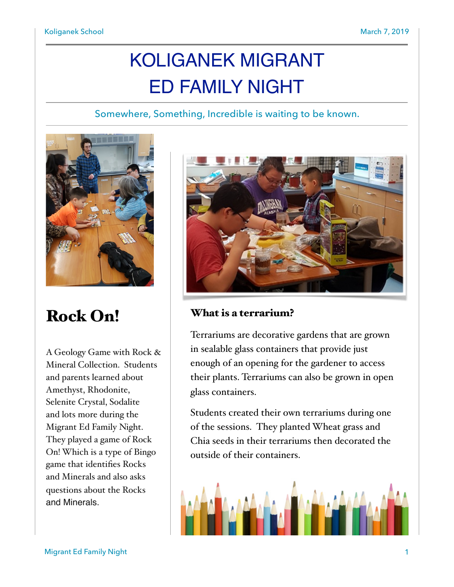# KOLIGANEK MIGRANT ED FAMILY NIGHT

Somewhere, Something, Incredible is waiting to be known.



## Rock On!

A Geology Game with Rock & Mineral Collection. Students and parents learned about Amethyst, Rhodonite, Selenite Crystal, Sodalite and lots more during the Migrant Ed Family Night. They played a game of Rock On! Which is a type of Bingo game that identifies Rocks and Minerals and also asks questions about the Rocks and Minerals.



### What is a terrarium?

Terrariums are decorative gardens that are grown in sealable glass containers that provide just enough of an opening for the gardener to access their plants. Terrariums can also be grown in open glass containers.

Students created their own terrariums during one of the sessions. They planted Wheat grass and Chia seeds in their terrariums then decorated the outside of their containers.